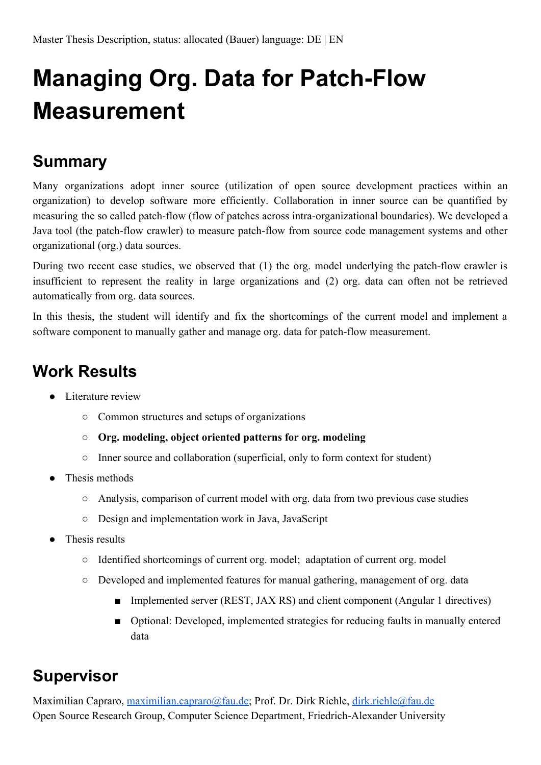## **Managing Org. Data for Patch-Flow Measurement**

## **Summary**

Many organizations adopt inner source (utilization of open source development practices within an organization) to develop software more efficiently. Collaboration in inner source can be quantified by measuring the so called patch-flow (flow of patches across intra-organizational boundaries). We developed a Java tool (the patch-flow crawler) to measure patch-flow from source code management systems and other organizational (org.) data sources.

During two recent case studies, we observed that (1) the org. model underlying the patch-flow crawler is insufficient to represent the reality in large organizations and (2) org. data can often not be retrieved automatically from org. data sources.

In this thesis, the student will identify and fix the shortcomings of the current model and implement a software component to manually gather and manage org. data for patch-flow measurement.

## **Work Results**

- Literature review
	- Common structures and setups of organizations
	- **○ Org. modeling, object oriented patterns for org. modeling**
	- Inner source and collaboration (superficial, only to form context for student)
- Thesis methods
	- Analysis, comparison of current model with org. data from two previous case studies
	- Design and implementation work in Java, JavaScript
- Thesis results
	- Identified shortcomings of current org. model; adaptation of current org. model
	- Developed and implemented features for manual gathering, management of org. data
		- Implemented server (REST, JAX RS) and client component (Angular 1 directives)
		- Optional: Developed, implemented strategies for reducing faults in manually entered data

## **Supervisor**

Maximilian Capraro, [maximilian.capraro@fau.de;](mailto:maximilian.capraro@fau.de) Prof. Dr. Dirk Riehle, [dirk.riehle@fau.de](mailto:dirk.riehle@fau.de) Open Source Research Group, Computer Science Department, Friedrich-Alexander University